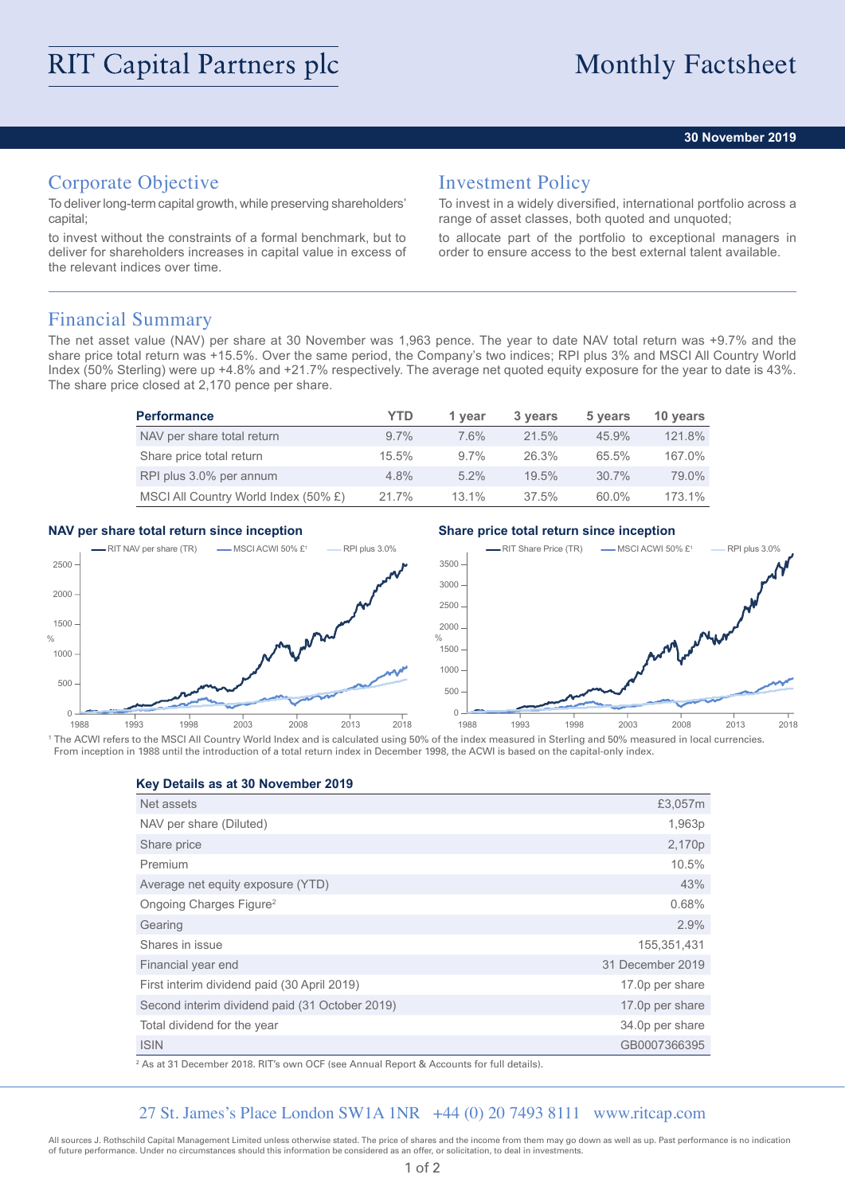#### **30 November 2019**

# Corporate Objective

To deliver long-term capital growth, while preserving shareholders' capital;

to invest without the constraints of a formal benchmark, but to deliver for shareholders increases in capital value in excess of the relevant indices over time.

### Investment Policy

To invest in a widely diversified, international portfolio across a range of asset classes, both quoted and unquoted;

to allocate part of the portfolio to exceptional managers in order to ensure access to the best external talent available.

### Financial Summary

The net asset value (NAV) per share at 30 November was 1,963 pence. The year to date NAV total return was +9.7% and the share price total return was +15.5%. Over the same period, the Company's two indices; RPI plus 3% and MSCI All Country World Index (50% Sterling) were up +4.8% and +21.7% respectively. The average net quoted equity exposure for the year to date is 43%. The share price closed at 2,170 pence per share.

| <b>Performance</b>                   | YTD     | 1 vear   | 3 years  | 5 years  | 10 years  |
|--------------------------------------|---------|----------|----------|----------|-----------|
| NAV per share total return           | $9.7\%$ | 7.6%     | 21.5%    | 45.9%    | 121.8%    |
| Share price total return             | 15.5%   | $9.7\%$  | 26.3%    | 65.5%    | 167.0%    |
| RPI plus 3.0% per annum              | $4.8\%$ | $5.2\%$  | 19.5%    | $30.7\%$ | 79.0%     |
| MSCI All Country World Index (50% £) | 21.7%   | $13.1\%$ | $37.5\%$ | 60.0%    | $173.1\%$ |

#### **NAV per share total return since inception Share price total return since inception**



<sup>1</sup> The ACWI refers to the MSCI All Country World Index and is calculated using 50% of the index measured in Sterling and 50% measured in local currencies. From inception in 1988 until the introduction of a total return index in December 1998, the ACWI is based on the capital-only index.

#### **Key Details as at 30 November 2019**

| Net assets                                     | £3,057m          |
|------------------------------------------------|------------------|
| NAV per share (Diluted)                        | 1,963p           |
| Share price                                    | 2,170p           |
| Premium                                        | 10.5%            |
| Average net equity exposure (YTD)              | 43%              |
| Ongoing Charges Figure <sup>2</sup>            | 0.68%            |
| Gearing                                        | 2.9%             |
| Shares in issue                                | 155,351,431      |
| Financial year end                             | 31 December 2019 |
| First interim dividend paid (30 April 2019)    | 17.0p per share  |
| Second interim dividend paid (31 October 2019) | 17.0p per share  |
| Total dividend for the year                    | 34.0p per share  |
| <b>ISIN</b>                                    | GB0007366395     |

2 As at 31 December 2018. RIT's own OCF (see Annual Report & Accounts for full details).

#### 27 St. James's Place London SW1A 1NR +44 (0) 20 7493 8111 www.ritcap.com

All sources J. Rothschild Capital Management Limited unless otherwise stated. The price of shares and the income from them may go down as well as up. Past performance is no indication of future performance. Under no circumstances should this information be considered as an offer, or solicitation, to deal in investments.